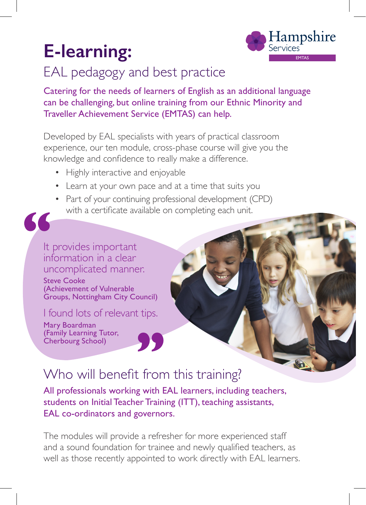

# EAL pedagogy and best practice

Catering for the needs of learners of English as an additional language can be challenging, but online training from our Ethnic Minority and Traveller Achievement Service (EMTAS) can help.

Developed by EAL specialists with years of practical classroom experience, our ten module, cross-phase course will give you the knowledge and confidence to really make a difference.

- Highly interactive and enjoyable
- Learn at your own pace and at a time that suits you
- Part of your continuing professional development (CPD) with a certificate available on completing each unit.



Steve Cooke (Achievement of Vulnerable Groups, Nottingham City Council)

I found lots of relevant tips.

Mary Boardman (Family Learning Tutor, Cherbourg School)

## Who will benefit from this training?

All professionals working with EAL learners, including teachers, students on Initial Teacher Training (ITT), teaching assistants, EAL co-ordinators and governors.

The modules will provide a refresher for more experienced staff and a sound foundation for trainee and newly qualified teachers, as well as those recently appointed to work directly with EAL learners.